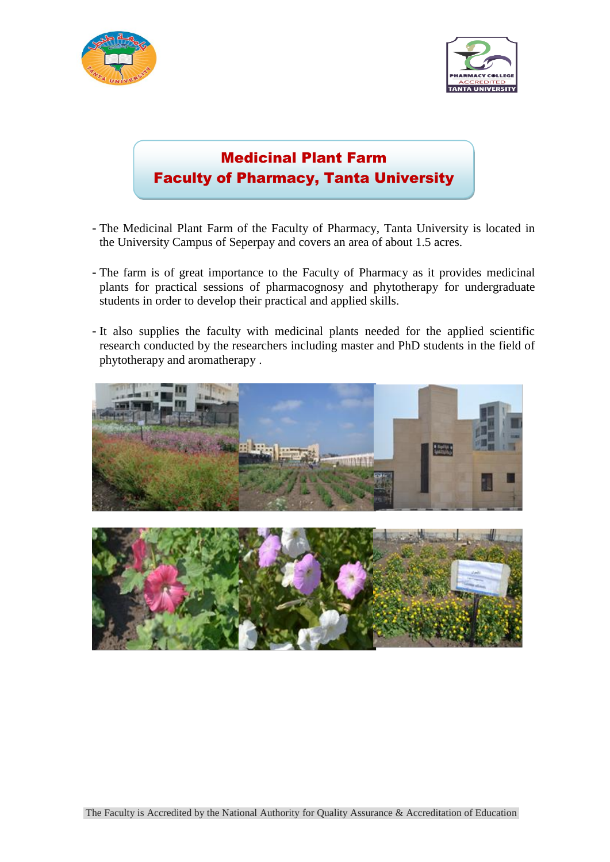



## Medicinal Plant Farm Faculty of Pharmacy, Tanta University

- **-** The Medicinal Plant Farm of the Faculty of Pharmacy, Tanta University is located in the University Campus of Seperpay and covers an area of about 1.5 acres.
- **-** The farm is of great importance to the Faculty of Pharmacy as it provides medicinal plants for practical sessions of pharmacognosy and phytotherapy for undergraduate students in order to develop their practical and applied skills.
- **-** It also supplies the faculty with medicinal plants needed for the applied scientific research conducted by the researchers including master and PhD students in the field of phytotherapy and aromatherapy .